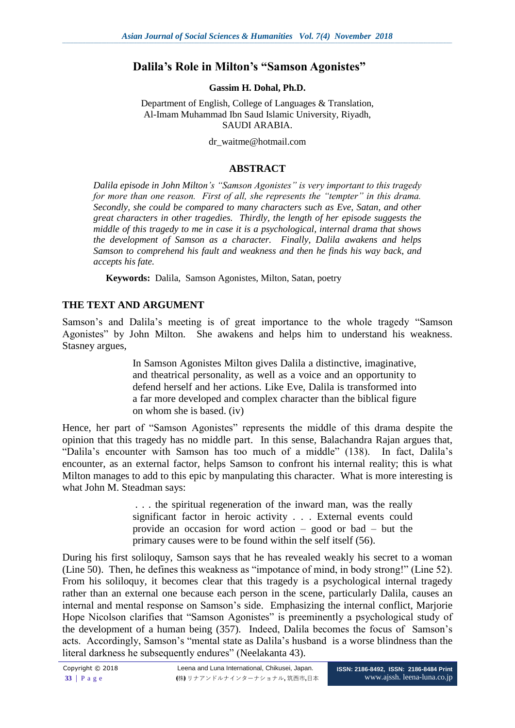# **Dalila's Role in Milton's "Samson Agonistes"**

**Gassim H. Dohal, Ph.D.**

Department of English, College of Languages & Translation, Al-Imam Muhammad Ibn Saud Islamic University, Riyadh, SAUDI ARABIA.

dr\_waitme@hotmail.com

## **ABSTRACT**

*Dalila episode in John Milton's "Samson Agonistes" is very important to this tragedy for more than one reason. First of all, she represents the "tempter" in this drama. Secondly, she could be compared to many characters such as Eve, Satan, and other great characters in other tragedies. Thirdly, the length of her episode suggests the middle of this tragedy to me in case it is a psychological, internal drama that shows the development of Samson as a character. Finally, Dalila awakens and helps Samson to comprehend his fault and weakness and then he finds his way back, and accepts his fate.*

**Keywords:** Dalila, Samson Agonistes, Milton, Satan, poetry

### **THE TEXT AND ARGUMENT**

Samson's and Dalila's meeting is of great importance to the whole tragedy "Samson Agonistes" by John Milton. She awakens and helps him to understand his weakness. Stasney argues,

> In Samson Agonistes Milton gives Dalila a distinctive, imaginative, and theatrical personality, as well as a voice and an opportunity to defend herself and her actions. Like Eve, Dalila is transformed into a far more developed and complex character than the biblical figure on whom she is based. (iv)

Hence, her part of "Samson Agonistes" represents the middle of this drama despite the opinion that this tragedy has no middle part. In this sense, Balachandra Rajan argues that, "Dalila's encounter with Samson has too much of a middle" (138). In fact, Dalila's encounter, as an external factor, helps Samson to confront his internal reality; this is what Milton manages to add to this epic by manpulating this character. What is more interesting is what John M. Steadman says:

> . . . the spiritual regeneration of the inward man, was the really significant factor in heroic activity . . . External events could provide an occasion for word action – good or bad – but the primary causes were to be found within the self itself (56).

During his first soliloquy, Samson says that he has revealed weakly his secret to a woman (Line 50). Then, he defines this weakness as "impotance of mind, in body strong!" (Line 52). From his soliloquy, it becomes clear that this tragedy is a psychological internal tragedy rather than an external one because each person in the scene, particularly Dalila, causes an internal and mental response on Samson's side. Emphasizing the internal conflict, Marjorie Hope Nicolson clarifies that "Samson Agonistes" is preeminently a psychological study of the development of a human being (357). Indeed, Dalila becomes the focus of Samson's acts. Accordingly, Samson's "mental state as Dalila's husband is a worse blindness than the literal darkness he subsequently endures" (Neelakanta 43).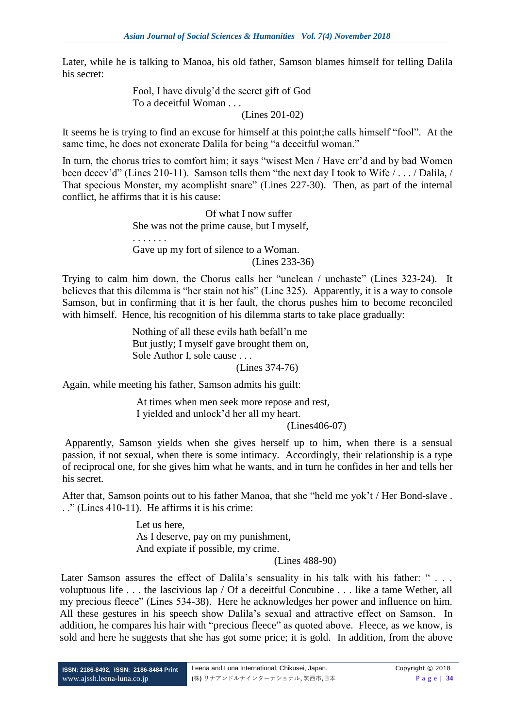Later, while he is talking to Manoa, his old father, Samson blames himself for telling Dalila his secret:

> Fool, I have divulg'd the secret gift of God To a deceitful Woman . . .

(Lines 201-02)

It seems he is trying to find an excuse for himself at this point;he calls himself "fool". At the same time, he does not exonerate Dalila for being "a deceitful woman."

In turn, the chorus tries to comfort him; it says "wisest Men / Have err'd and by bad Women been decev'd" (Lines 210-11). Samson tells them "the next day I took to Wife / . . . / Dalila, / That specious Monster, my acomplisht snare" (Lines 227-30). Then, as part of the internal conflict, he affirms that it is his cause:

> Of what I now suffer She was not the prime cause, but I myself, . . . . . . . Gave up my fort of silence to a Woman. (Lines 233-36)

Trying to calm him down, the Chorus calls her "unclean / unchaste" (Lines 323-24). It believes that this dilemma is "her stain not his" (Line 325). Apparently, it is a way to console Samson, but in confirming that it is her fault, the chorus pushes him to become reconciled with himself. Hence, his recognition of his dilemma starts to take place gradually:

> Nothing of all these evils hath befall'n me But justly; I myself gave brought them on, Sole Author I, sole cause . . .

(Lines 374-76)

Again, while meeting his father, Samson admits his guilt:

At times when men seek more repose and rest, I yielded and unlock'd her all my heart.

(Lines406-07)

Apparently, Samson yields when she gives herself up to him, when there is a sensual passion, if not sexual, when there is some intimacy. Accordingly, their relationship is a type of reciprocal one, for she gives him what he wants, and in turn he confides in her and tells her his secret.

After that, Samson points out to his father Manoa, that she "held me yok't / Her Bond-slave . . ." (Lines 410-11). He affirms it is his crime:

> Let us here, As I deserve, pay on my punishment, And expiate if possible, my crime.

(Lines 488-90)

Later Samson assures the effect of Dalila's sensuality in his talk with his father: "... voluptuous life . . . the lascivious lap / Of a deceitful Concubine . . . like a tame Wether, all my precious fleece" (Lines 534-38). Here he acknowledges her power and influence on him. All these gestures in his speech show Dalila's sexual and attractive effect on Samson. In addition, he compares his hair with "precious fleece" as quoted above. Fleece, as we know, is sold and here he suggests that she has got some price; it is gold. In addition, from the above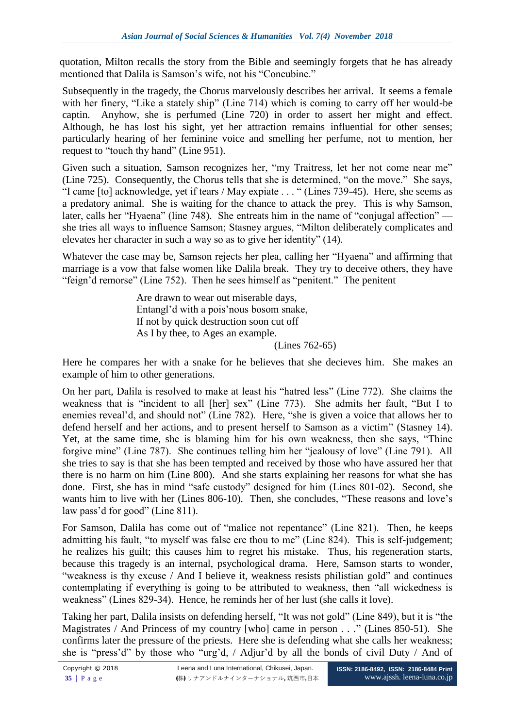quotation, Milton recalls the story from the Bible and seemingly forgets that he has already mentioned that Dalila is Samson's wife, not his "Concubine."

Subsequently in the tragedy, the Chorus marvelously describes her arrival. It seems a female with her finery, "Like a stately ship" (Line 714) which is coming to carry off her would-be captin. Anyhow, she is perfumed (Line 720) in order to assert her might and effect. Although, he has lost his sight, yet her attraction remains influential for other senses; particularly hearing of her feminine voice and smelling her perfume, not to mention, her request to "touch thy hand" (Line 951).

Given such a situation, Samson recognizes her, "my Traitress, let her not come near me" (Line 725). Consequently, the Chorus tells that she is determined, "on the move." She says, "I came [to] acknowledge, yet if tears / May expiate . . . " (Lines 739-45). Here, she seems as a predatory animal. She is waiting for the chance to attack the prey. This is why Samson, later, calls her "Hyaena" (line 748). She entreats him in the name of "conjugal affection" she tries all ways to influence Samson; Stasney argues, "Milton deliberately complicates and elevates her character in such a way so as to give her identity" (14).

Whatever the case may be, Samson rejects her plea, calling her "Hyaena" and affirming that marriage is a vow that false women like Dalila break. They try to deceive others, they have "feign'd remorse" (Line 752). Then he sees himself as "penitent." The penitent

> Are drawn to wear out miserable days, Entangl'd with a pois'nous bosom snake, If not by quick destruction soon cut off As I by thee, to Ages an example.

(Lines 762-65)

Here he compares her with a snake for he believes that she decieves him. She makes an example of him to other generations.

On her part, Dalila is resolved to make at least his "hatred less" (Line 772). She claims the weakness that is "incident to all [her] sex" (Line 773). She admits her fault, "But I to enemies reveal'd, and should not" (Line 782). Here, "she is given a voice that allows her to defend herself and her actions, and to present herself to Samson as a victim" (Stasney 14). Yet, at the same time, she is blaming him for his own weakness, then she says, "Thine forgive mine" (Line 787). She continues telling him her "jealousy of love" (Line 791). All she tries to say is that she has been tempted and received by those who have assured her that there is no harm on him (Line 800). And she starts explaining her reasons for what she has done. First, she has in mind "safe custody" designed for him (Lines 801-02). Second, she wants him to live with her (Lines 806-10). Then, she concludes, "These reasons and love's law pass'd for good" (Line 811).

For Samson, Dalila has come out of "malice not repentance" (Line 821). Then, he keeps admitting his fault, "to myself was false ere thou to me" (Line 824). This is self-judgement; he realizes his guilt; this causes him to regret his mistake. Thus, his regeneration starts, because this tragedy is an internal, psychological drama. Here, Samson starts to wonder, "weakness is thy excuse / And I believe it, weakness resists philistian gold" and continues contemplating if everything is going to be attributed to weakness, then "all wickedness is weakness" (Lines 829-34). Hence, he reminds her of her lust (she calls it love).

Taking her part, Dalila insists on defending herself, "It was not gold" (Line 849), but it is "the Magistrates / And Princess of my country [who] came in person . . ." (Lines 850-51). She confirms later the pressure of the priests. Here she is defending what she calls her weakness; she is "press'd" by those who "urg'd, / Adjur'd by all the bonds of civil Duty / And of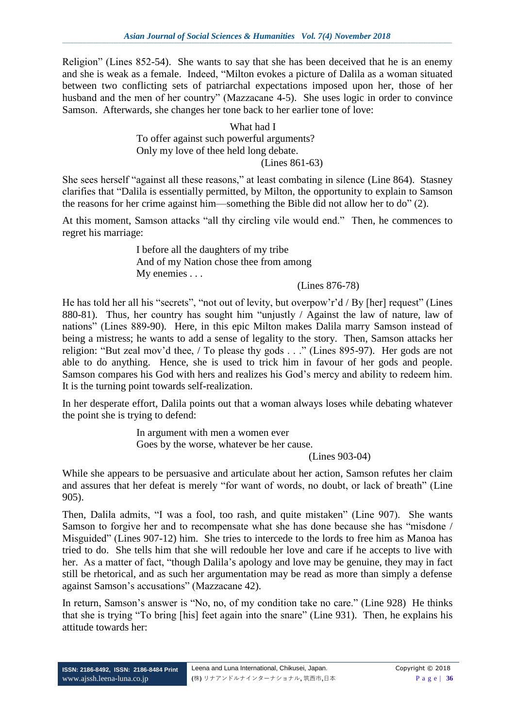Religion" (Lines 852-54). She wants to say that she has been deceived that he is an enemy and she is weak as a female. Indeed, "Milton evokes a picture of Dalila as a woman situated between two conflicting sets of patriarchal expectations imposed upon her, those of her husband and the men of her country" (Mazzacane 4-5). She uses logic in order to convince Samson. Afterwards, she changes her tone back to her earlier tone of love:

#### What had I To offer against such powerful arguments? Only my love of thee held long debate. (Lines 861-63)

She sees herself "against all these reasons," at least combating in silence (Line 864). Stasney clarifies that "Dalila is essentially permitted, by Milton, the opportunity to explain to Samson the reasons for her crime against him—something the Bible did not allow her to do" (2).

At this moment, Samson attacks "all thy circling vile would end." Then, he commences to regret his marriage:

> I before all the daughters of my tribe And of my Nation chose thee from among My enemies . . .

#### (Lines 876-78)

He has told her all his "secrets", "not out of levity, but overpow'r'd / By [her] request" (Lines 880-81). Thus, her country has sought him "unjustly / Against the law of nature, law of nations" (Lines 889-90). Here, in this epic Milton makes Dalila marry Samson instead of being a mistress; he wants to add a sense of legality to the story. Then, Samson attacks her religion: "But zeal mov'd thee, / To please thy gods . . ." (Lines 895-97). Her gods are not able to do anything. Hence, she is used to trick him in favour of her gods and people. Samson compares his God with hers and realizes his God's mercy and ability to redeem him. It is the turning point towards self-realization.

In her desperate effort, Dalila points out that a woman always loses while debating whatever the point she is trying to defend:

> In argument with men a women ever Goes by the worse, whatever be her cause.

(Lines 903-04)

While she appears to be persuasive and articulate about her action, Samson refutes her claim and assures that her defeat is merely "for want of words, no doubt, or lack of breath" (Line 905).

Then, Dalila admits, "I was a fool, too rash, and quite mistaken" (Line 907). She wants Samson to forgive her and to recompensate what she has done because she has "misdone / Misguided" (Lines 907-12) him. She tries to intercede to the lords to free him as Manoa has tried to do. She tells him that she will redouble her love and care if he accepts to live with her. As a matter of fact, "though Dalila's apology and love may be genuine, they may in fact still be rhetorical, and as such her argumentation may be read as more than simply a defense against Samson's accusations" (Mazzacane 42).

In return, Samson's answer is "No, no, of my condition take no care." (Line 928) He thinks that she is trying "To bring [his] feet again into the snare" (Line 931). Then, he explains his attitude towards her: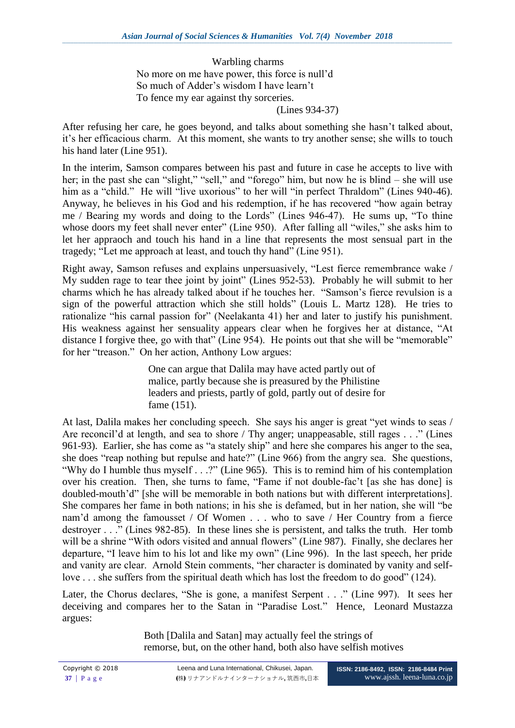Warbling charms No more on me have power, this force is null'd So much of Adder's wisdom I have learn't To fence my ear against thy sorceries.

(Lines 934-37)

After refusing her care, he goes beyond, and talks about something she hasn't talked about, it's her efficacious charm. At this moment, she wants to try another sense; she wills to touch his hand later (Line 951).

In the interim, Samson compares between his past and future in case he accepts to live with her; in the past she can "slight," "sell," and "forego" him, but now he is blind – she will use him as a "child." He will "live uxorious" to her will "in perfect Thraldom" (Lines 940-46). Anyway, he believes in his God and his redemption, if he has recovered "how again betray me / Bearing my words and doing to the Lords" (Lines 946-47). He sums up, "To thine whose doors my feet shall never enter" (Line 950). After falling all "wiles," she asks him to let her appraoch and touch his hand in a line that represents the most sensual part in the tragedy; "Let me approach at least, and touch thy hand" (Line 951).

Right away, Samson refuses and explains unpersuasively, "Lest fierce remembrance wake / My sudden rage to tear thee joint by joint" (Lines 952-53). Probably he will submit to her charms which he has already talked about if he touches her. "Samson's fierce revulsion is a sign of the powerful attraction which she still holds" (Louis L. Martz 128). He tries to rationalize "his carnal passion for" (Neelakanta 41) her and later to justify his punishment. His weakness against her sensuality appears clear when he forgives her at distance, "At distance I forgive thee, go with that" (Line 954). He points out that she will be "memorable" for her "treason." On her action, Anthony Low argues:

> One can argue that Dalila may have acted partly out of malice, partly because she is preasured by the Philistine leaders and priests, partly of gold, partly out of desire for fame (151).

At last, Dalila makes her concluding speech. She says his anger is great "yet winds to seas / Are reconcil'd at length, and sea to shore / Thy anger; unappeasable, still rages . . ." (Lines 961-93). Earlier, she has come as "a stately ship" and here she compares his anger to the sea, she does "reap nothing but repulse and hate?" (Line 966) from the angry sea. She questions, "Why do I humble thus myself . . .?" (Line 965). This is to remind him of his contemplation over his creation. Then, she turns to fame, "Fame if not double-fac't [as she has done] is doubled-mouth'd" [she will be memorable in both nations but with different interpretations]. She compares her fame in both nations; in his she is defamed, but in her nation, she will "be nam'd among the famousset / Of Women . . . who to save / Her Country from a fierce destroyer . . ." (Lines 982-85). In these lines she is persistent, and talks the truth. Her tomb will be a shrine "With odors visited and annual flowers" (Line 987). Finally, she declares her departure, "I leave him to his lot and like my own" (Line 996). In the last speech, her pride and vanity are clear. Arnold Stein comments, "her character is dominated by vanity and selflove . . . she suffers from the spiritual death which has lost the freedom to do good" (124).

Later, the Chorus declares, "She is gone, a manifest Serpent . . ." (Line 997). It sees her deceiving and compares her to the Satan in "Paradise Lost." Hence, Leonard Mustazza argues:

> Both [Dalila and Satan] may actually feel the strings of remorse, but, on the other hand, both also have selfish motives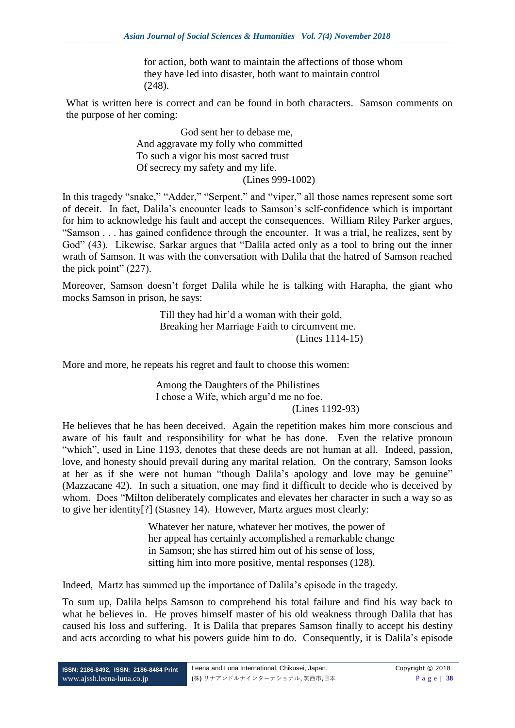for action, both want to maintain the affections of those whom they have led into disaster, both want to maintain control (248).

What is written here is correct and can be found in both characters. Samson comments on the purpose of her coming:

> God sent her to debase me, And aggravate my folly who committed To such a vigor his most sacred trust Of secrecy my safety and my life. (Lines 999-1002)

In this tragedy "snake," "Adder," "Serpent," and "viper," all those names represent some sort of deceit. In fact, Dalila's encounter leads to Samson's self-confidence which is important for him to acknowledge his fault and accept the consequences. William Riley Parker argues, "Samson . . . has gained confidence through the encounter. It was a trial, he realizes, sent by God" (43). Likewise, Sarkar argues that "Dalila acted only as a tool to bring out the inner wrath of Samson. It was with the conversation with Dalila that the hatred of Samson reached the pick point" (227).

Moreover, Samson doesn't forget Dalila while he is talking with Harapha, the giant who mocks Samson in prison, he says:

> Till they had hir'd a woman with their gold, Breaking her Marriage Faith to circumvent me. (Lines 1114-15)

More and more, he repeats his regret and fault to choose this women:

Among the Daughters of the Philistines I chose a Wife, which argu'd me no foe. (Lines 1192-93)

He believes that he has been deceived. Again the repetition makes him more conscious and aware of his fault and responsibility for what he has done. Even the relative pronoun "which", used in Line 1193, denotes that these deeds are not human at all. Indeed, passion, love, and honesty should prevail during any marital relation. On the contrary, Samson looks at her as if she were not human "though Dalila's apology and love may be genuine" (Mazzacane 42). In such a situation, one may find it difficult to decide who is deceived by whom. Does "Milton deliberately complicates and elevates her character in such a way so as to give her identity[?] (Stasney 14). However, Martz argues most clearly:

> Whatever her nature, whatever her motives, the power of her appeal has certainly accomplished a remarkable change in Samson; she has stirred him out of his sense of loss, sitting him into more positive, mental responses (128).

Indeed, Martz has summed up the importance of Dalila's episode in the tragedy.

To sum up, Dalila helps Samson to comprehend his total failure and find his way back to what he believes in. He proves himself master of his old weakness through Dalila that has caused his loss and suffering. It is Dalila that prepares Samson finally to accept his destiny and acts according to what his powers guide him to do. Consequently, it is Dalila's episode